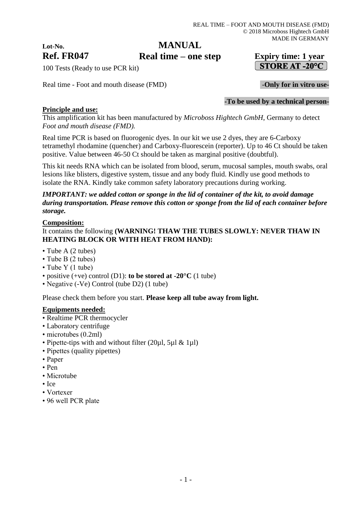## **MANUAL**

**Ref. FR047 Expiry time: 1 year Real time – one step**

# STORE AT -20 $^{\circ}$ C

**-To be used by a technical person-**

100 Tests (Ready to use PCR kit)

Real time - Foot and mouth disease (FMD) **-Only for in vitro use-**

## **Principle and use:**

**Lot-No.**

This amplification kit has been manufactured by *Microboss Hightech GmbH*, Germany to detect *Foot and mouth disease (FMD).*

Real time PCR is based on fluorogenic dyes. In our kit we use 2 dyes, they are 6-Carboxy tetramethyl rhodamine (quencher) and Carboxy-fluorescein (reporter). Up to 46 Ct should be taken positive. Value between 46-50 Ct should be taken as marginal positive (doubtful).

This kit needs RNA which can be isolated from blood, serum, mucosal samples, mouth swabs, oral lesions like blisters, digestive system, tissue and any body fluid. Kindly use good methods to isolate the RNA. Kindly take common safety laboratory precautions during working.

## *IMPORTANT: we added cotton or sponge in the lid of container of the kit, to avoid damage during transportation. Please remove this cotton or sponge from the lid of each container before storage.*

## **Composition:**

## It contains the following **(WARNING! THAW THE TUBES SLOWLY: NEVER THAW IN HEATING BLOCK OR WITH HEAT FROM HAND):**

- Tube A (2 tubes)
- Tube B (2 tubes)
- Tube Y (1 tube)
- positive (+ve) control (D1): **to be stored at -20°C** (1 tube)
- Negative (-Ve) Control (tube D2) (1 tube)

Please check them before you start. **Please keep all tube away from light.**

#### **Equipments needed:**

- Realtime PCR thermocycler
- Laboratory centrifuge
- microtubes (0.2ml)
- Pipette-tips with and without filter (20µl, 5µl & 1µl)
- Pipettes (quality pipettes)
- Paper
- Pen
- Microtube
- Ice
- Vortexer
- 96 well PCR plate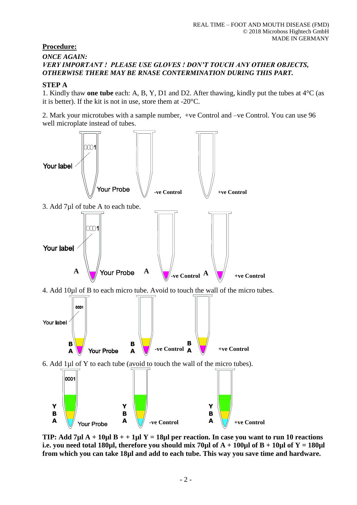## **Procedure:**

## *ONCE AGAIN: VERY IMPORTANT ! PLEASE USE GLOVES ! DON'T TOUCH ANY OTHER OBJECTS, OTHERWISE THERE MAY BE RNASE CONTERMINATION DURING THIS PART.*

## **STEP A**

1. Kindly thaw **one tube** each: A, B, Y, D1 and D2. After thawing, kindly put the tubes at 4°C (as it is better). If the kit is not in use, store them at -20°C.

2. Mark your microtubes with a sample number, +ve Control and –ve Control. You can use 96 well microplate instead of tubes.



**TIP: Add 7µl A + 10µl B + + 1µl Y = 18µl per reaction. In case you want to run 10 reactions i.e. you need total 180µl, therefore you should mix 70µl of**  $A + 100\mu$ **l of**  $B + 10\mu$ **l of**  $Y = 180\mu$ **l from which you can take 18µl and add to each tube. This way you save time and hardware.**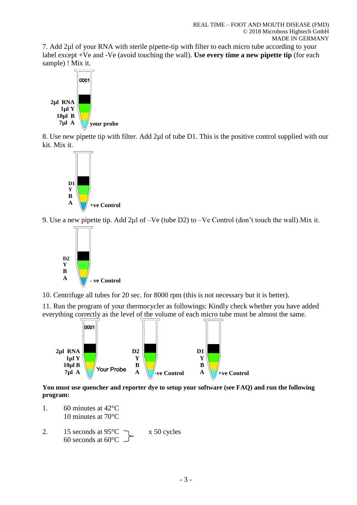7. Add 2µl of your RNA with sterile pipette-tip with filter to each micro tube according to your label except +Ve and -Ve (avoid touching the wall). **Use every time a new pipette tip** (for each sample) ! Mix it.



8. Use new pipette tip with filter. Add 2µl of tube D1. This is the positive control supplied with our kit. Mix it.



9. Use a new pipette tip. Add 2µl of –Ve (tube D2) to –Ve Control (don't touch the wall).Mix it.



10. Centrifuge all tubes for 20 sec. for 8000 rpm (this is not necessary but it is better).

11. Run the program of your thermocycler as followings: Kindly check whether you have added everything correctly as the level of the volume of each micro tube must be almost the same.



**You must use quencher and reporter dye to setup your software (see FAQ) and run the following program:**

- 1. 60 minutes at 42°C 10 minutes at 70°C
- 2. 15 seconds at  $95^{\circ}$ C  $\rightarrow x$  50 cycles 60 seconds at 60°C